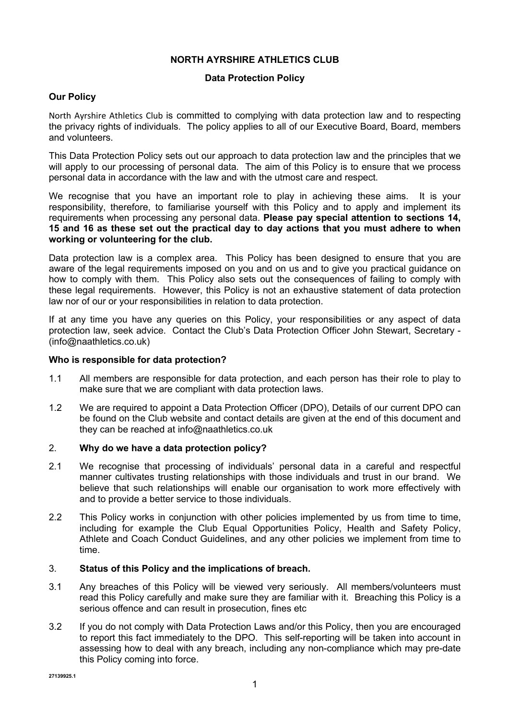# **NORTH AYRSHIRE ATHLETICS CLUB**

## **Data Protection Policy**

## **Our Policy**

North Ayrshire Athletics Club is committed to complying with data protection law and to respecting the privacy rights of individuals. The policy applies to all of our Executive Board, Board, members and volunteers.

This Data Protection Policy sets out our approach to data protection law and the principles that we will apply to our processing of personal data. The aim of this Policy is to ensure that we process personal data in accordance with the law and with the utmost care and respect.

We recognise that you have an important role to play in achieving these aims. It is your responsibility, therefore, to familiarise yourself with this Policy and to apply and implement its requirements when processing any personal data. **Please pay special attention to sections 14, 15 and 16 as these set out the practical day to day actions that you must adhere to when working or volunteering for the club.** 

Data protection law is a complex area. This Policy has been designed to ensure that you are aware of the legal requirements imposed on you and on us and to give you practical guidance on how to comply with them. This Policy also sets out the consequences of failing to comply with these legal requirements. However, this Policy is not an exhaustive statement of data protection law nor of our or your responsibilities in relation to data protection.

If at any time you have any queries on this Policy, your responsibilities or any aspect of data protection law, seek advice. Contact the Club's Data Protection Officer John Stewart, Secretary - (info@naathletics.co.uk)

### **Who is responsible for data protection?**

- 1.1 All members are responsible for data protection, and each person has their role to play to make sure that we are compliant with data protection laws.
- 1.2 We are required to appoint a Data Protection Officer (DPO), Details of our current DPO can be found on the Club website and contact details are given at the end of this document and they can be reached at info@naathletics.co.uk

## 2. **Why do we have a data protection policy?**

- 2.1 We recognise that processing of individuals' personal data in a careful and respectful manner cultivates trusting relationships with those individuals and trust in our brand. We believe that such relationships will enable our organisation to work more effectively with and to provide a better service to those individuals.
- 2.2 This Policy works in conjunction with other policies implemented by us from time to time, including for example the Club Equal Opportunities Policy, Health and Safety Policy, Athlete and Coach Conduct Guidelines, and any other policies we implement from time to time.

## 3. **Status of this Policy and the implications of breach.**

- 3.1 Any breaches of this Policy will be viewed very seriously. All members/volunteers must read this Policy carefully and make sure they are familiar with it. Breaching this Policy is a serious offence and can result in prosecution, fines etc
- 3.2 If you do not comply with Data Protection Laws and/or this Policy, then you are encouraged to report this fact immediately to the DPO. This self-reporting will be taken into account in assessing how to deal with any breach, including any non-compliance which may pre-date this Policy coming into force.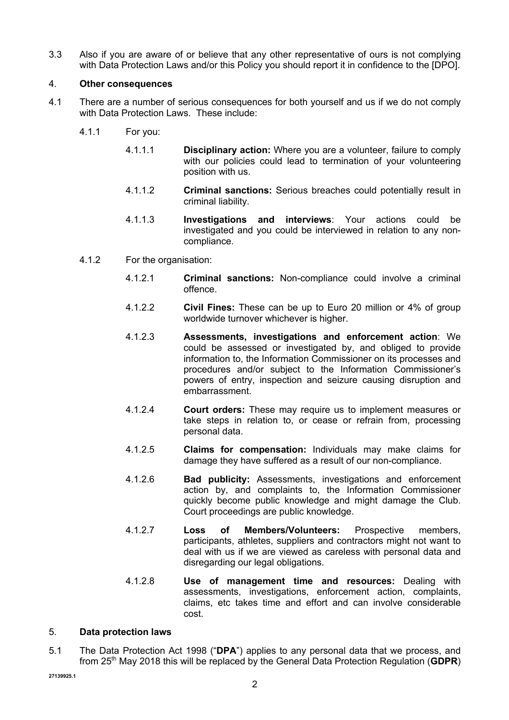3.3 Also if you are aware of or believe that any other representative of ours is not complying with Data Protection Laws and/or this Policy you should report it in confidence to the [DPO].

## 4. **Other consequences**

- 4.1 There are a number of serious consequences for both yourself and us if we do not comply with Data Protection Laws. These include:
	- 4.1.1 For you:
		- 4.1.1.1 **Disciplinary action:** Where you are a volunteer, failure to comply with our policies could lead to termination of your volunteering position with us.
		- 4.1.1.2 **Criminal sanctions:** Serious breaches could potentially result in criminal liability.
		- 4.1.1.3 **Investigations and interviews**: Your actions could be investigated and you could be interviewed in relation to any noncompliance.
	- 4.1.2 For the organisation:
		- 4.1.2.1 **Criminal sanctions:** Non-compliance could involve a criminal offence.
		- 4.1.2.2 **Civil Fines:** These can be up to Euro 20 million or 4% of group worldwide turnover whichever is higher.
		- 4.1.2.3 **Assessments, investigations and enforcement action**: We could be assessed or investigated by, and obliged to provide information to, the Information Commissioner on its processes and procedures and/or subject to the Information Commissioner's powers of entry, inspection and seizure causing disruption and embarrassment.
		- 4.1.2.4 **Court orders:** These may require us to implement measures or take steps in relation to, or cease or refrain from, processing personal data.
		- 4.1.2.5 **Claims for compensation:** Individuals may make claims for damage they have suffered as a result of our non-compliance.
		- 4.1.2.6 **Bad publicity:** Assessments, investigations and enforcement action by, and complaints to, the Information Commissioner quickly become public knowledge and might damage the Club. Court proceedings are public knowledge.
		- 4.1.2.7 **Loss of Members/Volunteers:** Prospective members, participants, athletes, suppliers and contractors might not want to deal with us if we are viewed as careless with personal data and disregarding our legal obligations.
		- 4.1.2.8 **Use of management time and resources:** Dealing with assessments, investigations, enforcement action, complaints, claims, etc takes time and effort and can involve considerable cost.

#### 5. **Data protection laws**

5.1 The Data Protection Act 1998 ("**DPA**") applies to any personal data that we process, and from 25th May 2018 this will be replaced by the General Data Protection Regulation (**GDPR**)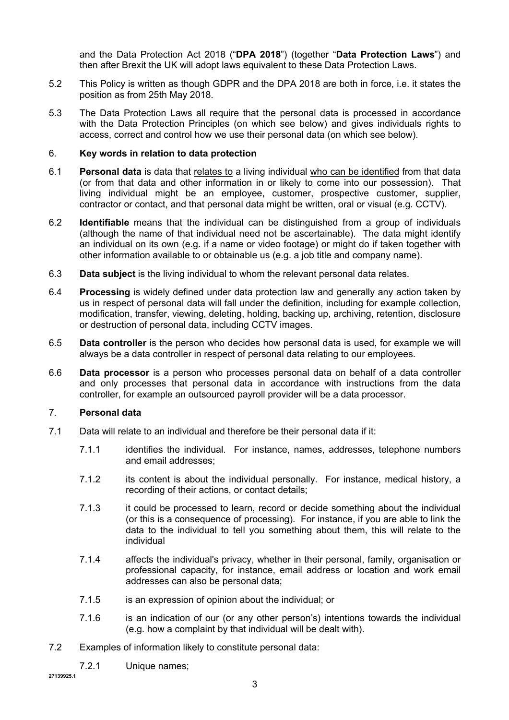and the Data Protection Act 2018 ("**DPA 2018**") (together "**Data Protection Laws**") and then after Brexit the UK will adopt laws equivalent to these Data Protection Laws.

- 5.2 This Policy is written as though GDPR and the DPA 2018 are both in force, i.e. it states the position as from 25th May 2018.
- 5.3 The Data Protection Laws all require that the personal data is processed in accordance with the Data Protection Principles (on which see below) and gives individuals rights to access, correct and control how we use their personal data (on which see below).

### 6. **Key words in relation to data protection**

- 6.1 **Personal data** is data that relates to a living individual who can be identified from that data (or from that data and other information in or likely to come into our possession). That living individual might be an employee, customer, prospective customer, supplier, contractor or contact, and that personal data might be written, oral or visual (e.g. CCTV).
- 6.2 **Identifiable** means that the individual can be distinguished from a group of individuals (although the name of that individual need not be ascertainable). The data might identify an individual on its own (e.g. if a name or video footage) or might do if taken together with other information available to or obtainable us (e.g. a job title and company name).
- 6.3 **Data subject** is the living individual to whom the relevant personal data relates.
- 6.4 **Processing** is widely defined under data protection law and generally any action taken by us in respect of personal data will fall under the definition, including for example collection, modification, transfer, viewing, deleting, holding, backing up, archiving, retention, disclosure or destruction of personal data, including CCTV images.
- 6.5 **Data controller** is the person who decides how personal data is used, for example we will always be a data controller in respect of personal data relating to our employees.
- 6.6 **Data processor** is a person who processes personal data on behalf of a data controller and only processes that personal data in accordance with instructions from the data controller, for example an outsourced payroll provider will be a data processor.

### 7. **Personal data**

- 7.1 Data will relate to an individual and therefore be their personal data if it:
	- 7.1.1 identifies the individual. For instance, names, addresses, telephone numbers and email addresses;
	- 7.1.2 its content is about the individual personally. For instance, medical history, a recording of their actions, or contact details;
	- 7.1.3 it could be processed to learn, record or decide something about the individual (or this is a consequence of processing). For instance, if you are able to link the data to the individual to tell you something about them, this will relate to the individual
	- 7.1.4 affects the individual's privacy, whether in their personal, family, organisation or professional capacity, for instance, email address or location and work email addresses can also be personal data;
	- 7.1.5 is an expression of opinion about the individual; or
	- 7.1.6 is an indication of our (or any other person's) intentions towards the individual (e.g. how a complaint by that individual will be dealt with).
- 7.2 Examples of information likely to constitute personal data:
	- 7.2.1 Unique names;

**27139925.1**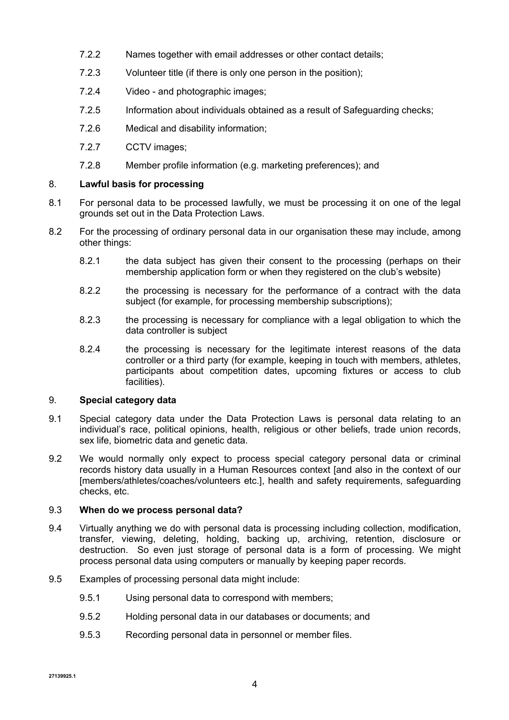- 7.2.2 Names together with email addresses or other contact details;
- 7.2.3 Volunteer title (if there is only one person in the position);
- 7.2.4 Video and photographic images;
- 7.2.5 Information about individuals obtained as a result of Safeguarding checks;
- 7.2.6 Medical and disability information;
- 7.2.7 CCTV images;
- 7.2.8 Member profile information (e.g. marketing preferences); and

# 8. **Lawful basis for processing**

- 8.1 For personal data to be processed lawfully, we must be processing it on one of the legal grounds set out in the Data Protection Laws.
- 8.2 For the processing of ordinary personal data in our organisation these may include, among other things:
	- 8.2.1 the data subject has given their consent to the processing (perhaps on their membership application form or when they registered on the club's website)
	- 8.2.2 the processing is necessary for the performance of a contract with the data subject (for example, for processing membership subscriptions);
	- 8.2.3 the processing is necessary for compliance with a legal obligation to which the data controller is subject
	- 8.2.4 the processing is necessary for the legitimate interest reasons of the data controller or a third party (for example, keeping in touch with members, athletes, participants about competition dates, upcoming fixtures or access to club facilities).

# 9. **Special category data**

- 9.1 Special category data under the Data Protection Laws is personal data relating to an individual's race, political opinions, health, religious or other beliefs, trade union records, sex life, biometric data and genetic data.
- 9.2 We would normally only expect to process special category personal data or criminal records history data usually in a Human Resources context [and also in the context of our [members/athletes/coaches/volunteers etc.], health and safety requirements, safeguarding checks, etc.

# 9.3 **When do we process personal data?**

- 9.4 Virtually anything we do with personal data is processing including collection, modification, transfer, viewing, deleting, holding, backing up, archiving, retention, disclosure or destruction. So even just storage of personal data is a form of processing. We might process personal data using computers or manually by keeping paper records.
- 9.5 Examples of processing personal data might include:
	- 9.5.1 Using personal data to correspond with members;
	- 9.5.2 Holding personal data in our databases or documents; and
	- 9.5.3 Recording personal data in personnel or member files.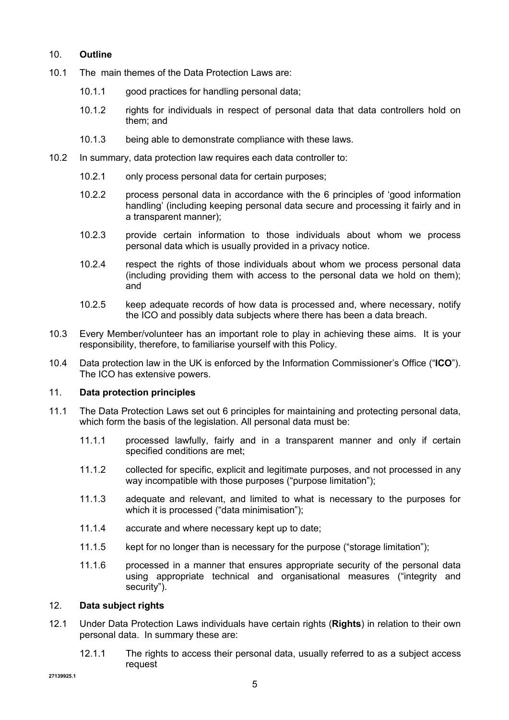# 10. **Outline**

- 10.1 The main themes of the Data Protection Laws are:
	- 10.1.1 good practices for handling personal data;
	- 10.1.2 rights for individuals in respect of personal data that data controllers hold on them; and
	- 10.1.3 being able to demonstrate compliance with these laws.
- 10.2 In summary, data protection law requires each data controller to:
	- 10.2.1 only process personal data for certain purposes;
	- 10.2.2 process personal data in accordance with the 6 principles of 'good information handling' (including keeping personal data secure and processing it fairly and in a transparent manner);
	- 10.2.3 provide certain information to those individuals about whom we process personal data which is usually provided in a privacy notice.
	- 10.2.4 respect the rights of those individuals about whom we process personal data (including providing them with access to the personal data we hold on them); and
	- 10.2.5 keep adequate records of how data is processed and, where necessary, notify the ICO and possibly data subjects where there has been a data breach.
- 10.3 Every Member/volunteer has an important role to play in achieving these aims. It is your responsibility, therefore, to familiarise yourself with this Policy.
- 10.4 Data protection law in the UK is enforced by the Information Commissioner's Office ("**ICO**"). The ICO has extensive powers.

#### 11. **Data protection principles**

- 11.1 The Data Protection Laws set out 6 principles for maintaining and protecting personal data, which form the basis of the legislation. All personal data must be:
	- 11.1.1 processed lawfully, fairly and in a transparent manner and only if certain specified conditions are met;
	- 11.1.2 collected for specific, explicit and legitimate purposes, and not processed in any way incompatible with those purposes ("purpose limitation");
	- 11.1.3 adequate and relevant, and limited to what is necessary to the purposes for which it is processed ("data minimisation");
	- 11.1.4 accurate and where necessary kept up to date;
	- 11.1.5 kept for no longer than is necessary for the purpose ("storage limitation");
	- 11.1.6 processed in a manner that ensures appropriate security of the personal data using appropriate technical and organisational measures ("integrity and security").

## 12. **Data subject rights**

- 12.1 Under Data Protection Laws individuals have certain rights (**Rights**) in relation to their own personal data. In summary these are:
	- 12.1.1 The rights to access their personal data, usually referred to as a subject access request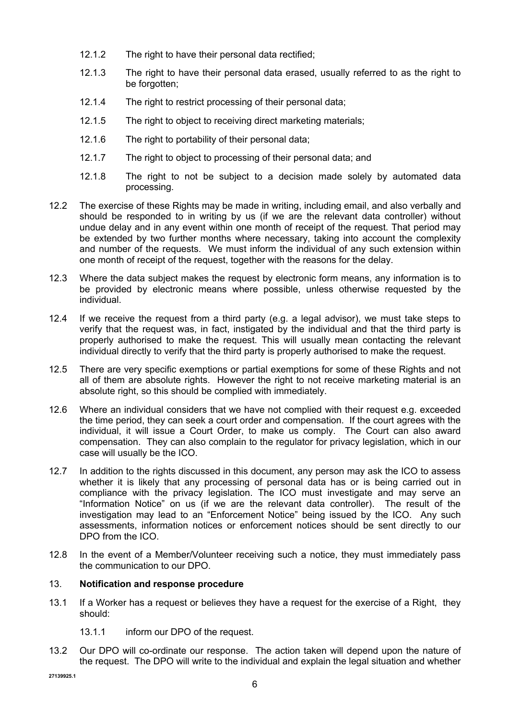- 12.1.2 The right to have their personal data rectified;
- 12.1.3 The right to have their personal data erased, usually referred to as the right to be forgotten;
- 12.1.4 The right to restrict processing of their personal data;
- 12.1.5 The right to object to receiving direct marketing materials;
- 12.1.6 The right to portability of their personal data;
- 12.1.7 The right to object to processing of their personal data; and
- 12.1.8 The right to not be subject to a decision made solely by automated data processing.
- 12.2 The exercise of these Rights may be made in writing, including email, and also verbally and should be responded to in writing by us (if we are the relevant data controller) without undue delay and in any event within one month of receipt of the request. That period may be extended by two further months where necessary, taking into account the complexity and number of the requests. We must inform the individual of any such extension within one month of receipt of the request, together with the reasons for the delay.
- 12.3 Where the data subject makes the request by electronic form means, any information is to be provided by electronic means where possible, unless otherwise requested by the individual.
- 12.4 If we receive the request from a third party (e.g. a legal advisor), we must take steps to verify that the request was, in fact, instigated by the individual and that the third party is properly authorised to make the request. This will usually mean contacting the relevant individual directly to verify that the third party is properly authorised to make the request.
- 12.5 There are very specific exemptions or partial exemptions for some of these Rights and not all of them are absolute rights. However the right to not receive marketing material is an absolute right, so this should be complied with immediately.
- 12.6 Where an individual considers that we have not complied with their request e.g. exceeded the time period, they can seek a court order and compensation. If the court agrees with the individual, it will issue a Court Order, to make us comply. The Court can also award compensation. They can also complain to the regulator for privacy legislation, which in our case will usually be the ICO.
- 12.7 In addition to the rights discussed in this document, any person may ask the ICO to assess whether it is likely that any processing of personal data has or is being carried out in compliance with the privacy legislation. The ICO must investigate and may serve an "Information Notice" on us (if we are the relevant data controller). The result of the investigation may lead to an "Enforcement Notice" being issued by the ICO. Any such assessments, information notices or enforcement notices should be sent directly to our DPO from the ICO.
- 12.8 In the event of a Member/Volunteer receiving such a notice, they must immediately pass the communication to our DPO.

## 13. **Notification and response procedure**

- 13.1 If a Worker has a request or believes they have a request for the exercise of a Right, they should:
	- 13.1.1 inform our DPO of the request.
- 13.2 Our DPO will co-ordinate our response. The action taken will depend upon the nature of the request. The DPO will write to the individual and explain the legal situation and whether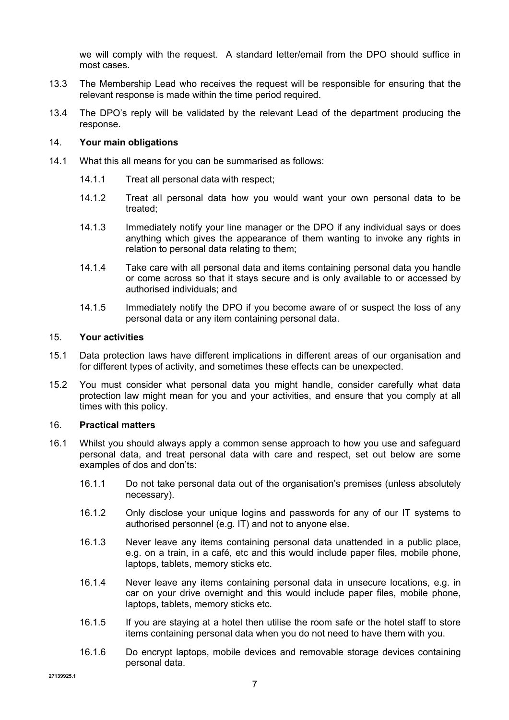we will comply with the request. A standard letter/email from the DPO should suffice in most cases.

- 13.3 The Membership Lead who receives the request will be responsible for ensuring that the relevant response is made within the time period required.
- 13.4 The DPO's reply will be validated by the relevant Lead of the department producing the response.

### 14. **Your main obligations**

- 14.1 What this all means for you can be summarised as follows:
	- 14.1.1 Treat all personal data with respect;
	- 14.1.2 Treat all personal data how you would want your own personal data to be treated;
	- 14.1.3 Immediately notify your line manager or the DPO if any individual says or does anything which gives the appearance of them wanting to invoke any rights in relation to personal data relating to them;
	- 14.1.4 Take care with all personal data and items containing personal data you handle or come across so that it stays secure and is only available to or accessed by authorised individuals; and
	- 14.1.5 Immediately notify the DPO if you become aware of or suspect the loss of any personal data or any item containing personal data.

### 15. **Your activities**

- 15.1 Data protection laws have different implications in different areas of our organisation and for different types of activity, and sometimes these effects can be unexpected.
- 15.2 You must consider what personal data you might handle, consider carefully what data protection law might mean for you and your activities, and ensure that you comply at all times with this policy.

#### 16. **Practical matters**

- 16.1 Whilst you should always apply a common sense approach to how you use and safeguard personal data, and treat personal data with care and respect, set out below are some examples of dos and don'ts:
	- 16.1.1 Do not take personal data out of the organisation's premises (unless absolutely necessary).
	- 16.1.2 Only disclose your unique logins and passwords for any of our IT systems to authorised personnel (e.g. IT) and not to anyone else.
	- 16.1.3 Never leave any items containing personal data unattended in a public place, e.g. on a train, in a café, etc and this would include paper files, mobile phone, laptops, tablets, memory sticks etc.
	- 16.1.4 Never leave any items containing personal data in unsecure locations, e.g. in car on your drive overnight and this would include paper files, mobile phone, laptops, tablets, memory sticks etc.
	- 16.1.5 If you are staying at a hotel then utilise the room safe or the hotel staff to store items containing personal data when you do not need to have them with you.
	- 16.1.6 Do encrypt laptops, mobile devices and removable storage devices containing personal data.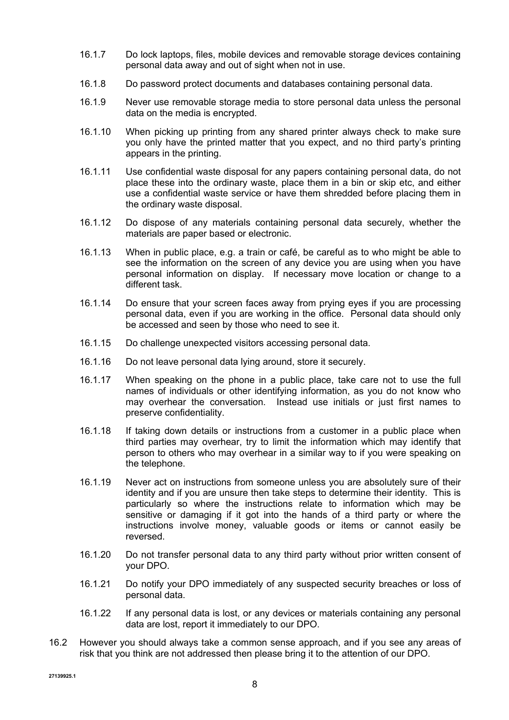- 16.1.7 Do lock laptops, files, mobile devices and removable storage devices containing personal data away and out of sight when not in use.
- 16.1.8 Do password protect documents and databases containing personal data.
- 16.1.9 Never use removable storage media to store personal data unless the personal data on the media is encrypted.
- 16.1.10 When picking up printing from any shared printer always check to make sure you only have the printed matter that you expect, and no third party's printing appears in the printing.
- 16.1.11 Use confidential waste disposal for any papers containing personal data, do not place these into the ordinary waste, place them in a bin or skip etc, and either use a confidential waste service or have them shredded before placing them in the ordinary waste disposal.
- 16.1.12 Do dispose of any materials containing personal data securely, whether the materials are paper based or electronic.
- 16.1.13 When in public place, e.g. a train or café, be careful as to who might be able to see the information on the screen of any device you are using when you have personal information on display. If necessary move location or change to a different task.
- 16.1.14 Do ensure that your screen faces away from prying eyes if you are processing personal data, even if you are working in the office. Personal data should only be accessed and seen by those who need to see it.
- 16.1.15 Do challenge unexpected visitors accessing personal data.
- 16.1.16 Do not leave personal data lying around, store it securely.
- 16.1.17 When speaking on the phone in a public place, take care not to use the full names of individuals or other identifying information, as you do not know who may overhear the conversation. Instead use initials or just first names to preserve confidentiality.
- 16.1.18 If taking down details or instructions from a customer in a public place when third parties may overhear, try to limit the information which may identify that person to others who may overhear in a similar way to if you were speaking on the telephone.
- 16.1.19 Never act on instructions from someone unless you are absolutely sure of their identity and if you are unsure then take steps to determine their identity. This is particularly so where the instructions relate to information which may be sensitive or damaging if it got into the hands of a third party or where the instructions involve money, valuable goods or items or cannot easily be reversed.
- 16.1.20 Do not transfer personal data to any third party without prior written consent of your DPO.
- 16.1.21 Do notify your DPO immediately of any suspected security breaches or loss of personal data.
- 16.1.22 If any personal data is lost, or any devices or materials containing any personal data are lost, report it immediately to our DPO.
- 16.2 However you should always take a common sense approach, and if you see any areas of risk that you think are not addressed then please bring it to the attention of our DPO.